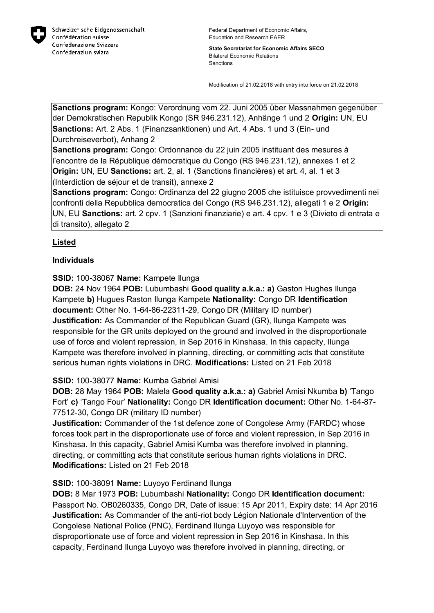

Federal Department of Economic Affairs, Education and Research EAER

**State Secretariat for Economic Affairs SECO** Bilateral Economic Relations Sanctions

Modification of 21.02.2018 with entry into force on 21.02.2018

**Sanctions program:** Kongo: Verordnung vom 22. Juni 2005 über Massnahmen gegenüber der Demokratischen Republik Kongo (SR 946.231.12), Anhänge 1 und 2 **Origin:** UN, EU **Sanctions:** Art. 2 Abs. 1 (Finanzsanktionen) und Art. 4 Abs. 1 und 3 (Ein- und Durchreiseverbot), Anhang 2

**Sanctions program:** Congo: Ordonnance du 22 juin 2005 instituant des mesures à l'encontre de la République démocratique du Congo (RS 946.231.12), annexes 1 et 2 **Origin:** UN, EU **Sanctions:** art. 2, al. 1 (Sanctions financières) et art. 4, al. 1 et 3 (Interdiction de séjour et de transit), annexe 2

**Sanctions program:** Congo: Ordinanza del 22 giugno 2005 che istituisce provvedimenti nei confronti della Repubblica democratica del Congo (RS 946.231.12), allegati 1 e 2 **Origin:** UN, EU **Sanctions:** art. 2 cpv. 1 (Sanzioni finanziarie) e art. 4 cpv. 1 e 3 (Divieto di entrata e di transito), allegato 2

# **Listed**

## **Individuals**

**SSID:** 100-38067 **Name:** Kampete Ilunga

**DOB:** 24 Nov 1964 **POB:** Lubumbashi **Good quality a.k.a.: a)** Gaston Hughes Ilunga Kampete **b)** Hugues Raston Ilunga Kampete **Nationality:** Congo DR **Identification document:** Other No. 1-64-86-22311-29, Congo DR (Military ID number) **Justification:** As Commander of the Republican Guard (GR), Ilunga Kampete was responsible for the GR units deployed on the ground and involved in the disproportionate use of force and violent repression, in Sep 2016 in Kinshasa. In this capacity, Ilunga Kampete was therefore involved in planning, directing, or committing acts that constitute serious human rights violations in DRC. **Modifications:** Listed on 21 Feb 2018

# **SSID:** 100-38077 **Name:** Kumba Gabriel Amisi

**DOB:** 28 May 1964 **POB:** Malela **Good quality a.k.a.: a)** Gabriel Amisi Nkumba **b)** 'Tango Fort' **c)** 'Tango Four' **Nationality:** Congo DR **Identification document:** Other No. 1-64-87- 77512-30, Congo DR (military ID number)

**Justification:** Commander of the 1st defence zone of Congolese Army (FARDC) whose forces took part in the disproportionate use of force and violent repression, in Sep 2016 in Kinshasa. In this capacity, Gabriel Amisi Kumba was therefore involved in planning, directing, or committing acts that constitute serious human rights violations in DRC. **Modifications:** Listed on 21 Feb 2018

### **SSID:** 100-38091 **Name:** Luyoyo Ferdinand Ilunga

**DOB:** 8 Mar 1973 **POB:** Lubumbashi **Nationality:** Congo DR **Identification document:** Passport No. OB0260335, Congo DR, Date of issue: 15 Apr 2011, Expiry date: 14 Apr 2016 **Justification:** As Commander of the anti-riot body Légion Nationale d'Intervention of the Congolese National Police (PNC), Ferdinand Ilunga Luyoyo was responsible for disproportionate use of force and violent repression in Sep 2016 in Kinshasa. In this capacity, Ferdinand Ilunga Luyoyo was therefore involved in planning, directing, or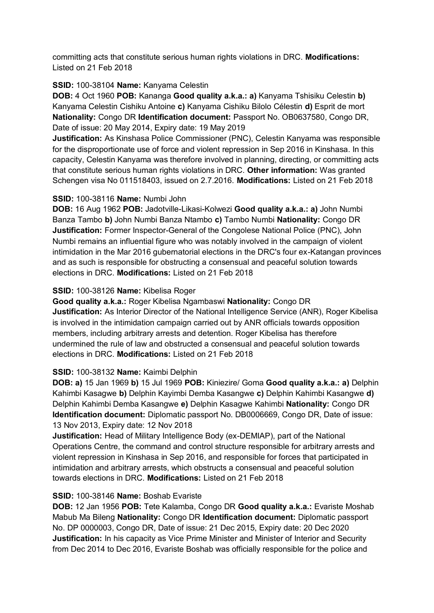committing acts that constitute serious human rights violations in DRC. **Modifications:**  Listed on 21 Feb 2018

### **SSID:** 100-38104 **Name:** Kanyama Celestin

**DOB:** 4 Oct 1960 **POB:** Kananga **Good quality a.k.a.: a)** Kanyama Tshisiku Celestin **b)**  Kanyama Celestin Cishiku Antoine **c)** Kanyama Cishiku Bilolo Célestin **d)** Esprit de mort **Nationality:** Congo DR **Identification document:** Passport No. OB0637580, Congo DR, Date of issue: 20 May 2014, Expiry date: 19 May 2019

**Justification:** As Kinshasa Police Commissioner (PNC), Celestin Kanyama was responsible for the disproportionate use of force and violent repression in Sep 2016 in Kinshasa. In this capacity, Celestin Kanyama was therefore involved in planning, directing, or committing acts that constitute serious human rights violations in DRC. **Other information:** Was granted Schengen visa No 011518403, issued on 2.7.2016. **Modifications:** Listed on 21 Feb 2018

#### **SSID:** 100-38116 **Name:** Numbi John

**DOB:** 16 Aug 1962 **POB:** Jadotville-Likasi-Kolwezi **Good quality a.k.a.: a)** John Numbi Banza Tambo **b)** John Numbi Banza Ntambo **c)** Tambo Numbi **Nationality:** Congo DR **Justification:** Former Inspector-General of the Congolese National Police (PNC), John Numbi remains an influential figure who was notably involved in the campaign of violent intimidation in the Mar 2016 gubernatorial elections in the DRC's four ex-Katangan provinces and as such is responsible for obstructing a consensual and peaceful solution towards elections in DRC. **Modifications:** Listed on 21 Feb 2018

## **SSID:** 100-38126 **Name:** Kibelisa Roger

**Good quality a.k.a.:** Roger Kibelisa Ngambaswi **Nationality:** Congo DR **Justification:** As Interior Director of the National Intelligence Service (ANR), Roger Kibelisa is involved in the intimidation campaign carried out by ANR officials towards opposition members, including arbitrary arrests and detention. Roger Kibelisa has therefore undermined the rule of law and obstructed a consensual and peaceful solution towards elections in DRC. **Modifications:** Listed on 21 Feb 2018

### **SSID:** 100-38132 **Name:** Kaimbi Delphin

**DOB: a)** 15 Jan 1969 **b)** 15 Jul 1969 **POB:** Kiniezire/ Goma **Good quality a.k.a.: a)** Delphin Kahimbi Kasagwe **b)** Delphin Kayimbi Demba Kasangwe **c)** Delphin Kahimbi Kasangwe **d)**  Delphin Kahimbi Demba Kasangwe **e)** Delphin Kasagwe Kahimbi **Nationality:** Congo DR **Identification document:** Diplomatic passport No. DB0006669, Congo DR, Date of issue: 13 Nov 2013, Expiry date: 12 Nov 2018

**Justification:** Head of Military Intelligence Body (ex-DEMIAP), part of the National Operations Centre, the command and control structure responsible for arbitrary arrests and violent repression in Kinshasa in Sep 2016, and responsible for forces that participated in intimidation and arbitrary arrests, which obstructs a consensual and peaceful solution towards elections in DRC. **Modifications:** Listed on 21 Feb 2018

### **SSID:** 100-38146 **Name:** Boshab Evariste

**DOB:** 12 Jan 1956 **POB:** Tete Kalamba, Congo DR **Good quality a.k.a.:** Evariste Moshab Mabub Ma Bileng **Nationality:** Congo DR **Identification document:** Diplomatic passport No. DP 0000003, Congo DR, Date of issue: 21 Dec 2015, Expiry date: 20 Dec 2020 **Justification:** In his capacity as Vice Prime Minister and Minister of Interior and Security from Dec 2014 to Dec 2016, Evariste Boshab was officially responsible for the police and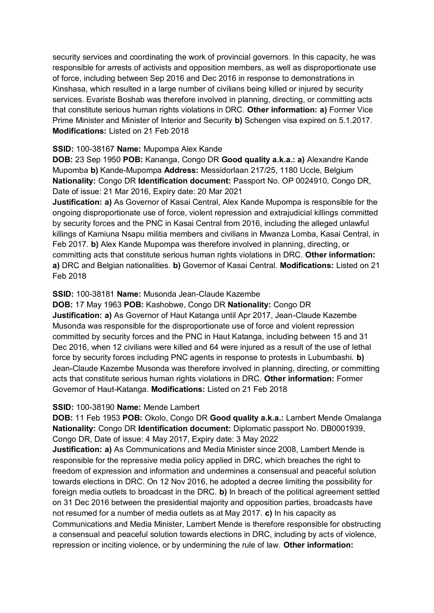security services and coordinating the work of provincial governors. In this capacity, he was responsible for arrests of activists and opposition members, as well as disproportionate use of force, including between Sep 2016 and Dec 2016 in response to demonstrations in Kinshasa, which resulted in a large number of civilians being killed or injured by security services. Evariste Boshab was therefore involved in planning, directing, or committing acts that constitute serious human rights violations in DRC. **Other information: a)** Former Vice Prime Minister and Minister of Interior and Security **b)** Schengen visa expired on 5.1.2017. **Modifications:** Listed on 21 Feb 2018

## **SSID:** 100-38167 **Name:** Mupompa Alex Kande

**DOB:** 23 Sep 1950 **POB:** Kananga, Congo DR **Good quality a.k.a.: a)** Alexandre Kande Mupomba **b)** Kande-Mupompa **Address:** Messidorlaan 217/25, 1180 Uccle, Belgium **Nationality:** Congo DR **Identification document:** Passport No. OP 0024910, Congo DR, Date of issue: 21 Mar 2016, Expiry date: 20 Mar 2021

**Justification: a)** As Governor of Kasai Central, Alex Kande Mupompa is responsible for the ongoing disproportionate use of force, violent repression and extrajudicial killings committed by security forces and the PNC in Kasai Central from 2016, including the alleged unlawful killings of Kamiuna Nsapu militia members and civilians in Mwanza Lomba, Kasai Central, in Feb 2017. **b)** Alex Kande Mupompa was therefore involved in planning, directing, or committing acts that constitute serious human rights violations in DRC. **Other information: a)** DRC and Belgian nationalities. **b)** Governor of Kasai Central. **Modifications:** Listed on 21 Feb 2018

## **SSID:** 100-38181 **Name:** Musonda Jean-Claude Kazembe

**DOB:** 17 May 1963 **POB:** Kashobwe, Congo DR **Nationality:** Congo DR **Justification: a)** As Governor of Haut Katanga until Apr 2017, Jean-Claude Kazembe Musonda was responsible for the disproportionate use of force and violent repression committed by security forces and the PNC in Haut Katanga, including between 15 and 31 Dec 2016, when 12 civilians were killed and 64 were injured as a result of the use of lethal force by security forces including PNC agents in response to protests in Lubumbashi. **b)**  Jean-Claude Kazembe Musonda was therefore involved in planning, directing, or committing acts that constitute serious human rights violations in DRC. **Other information:** Former Governor of Haut-Katanga. **Modifications:** Listed on 21 Feb 2018

### **SSID:** 100-38190 **Name:** Mende Lambert

**DOB:** 11 Feb 1953 **POB:** Okolo, Congo DR **Good quality a.k.a.:** Lambert Mende Omalanga **Nationality:** Congo DR **Identification document:** Diplomatic passport No. DB0001939, Congo DR, Date of issue: 4 May 2017, Expiry date: 3 May 2022

**Justification: a)** As Communications and Media Minister since 2008, Lambert Mende is responsible for the repressive media policy applied in DRC, which breaches the right to freedom of expression and information and undermines a consensual and peaceful solution towards elections in DRC. On 12 Nov 2016, he adopted a decree limiting the possibility for foreign media outlets to broadcast in the DRC. **b)** In breach of the political agreement settled on 31 Dec 2016 between the presidential majority and opposition parties, broadcasts have not resumed for a number of media outlets as at May 2017. **c)** In his capacity as Communications and Media Minister, Lambert Mende is therefore responsible for obstructing a consensual and peaceful solution towards elections in DRC, including by acts of violence, repression or inciting violence, or by undermining the rule of law. **Other information:**